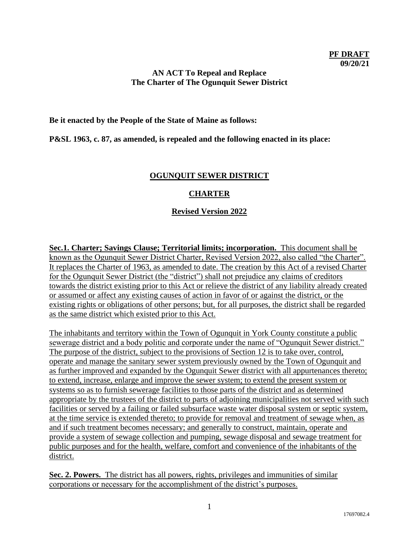#### **AN ACT To Repeal and Replace The Charter of The Ogunquit Sewer District**

**Be it enacted by the People of the State of Maine as follows:**

**P&SL 1963, c. 87, as amended, is repealed and the following enacted in its place:**

#### **OGUNQUIT SEWER DISTRICT**

### **CHARTER**

#### **Revised Version 2022**

**Sec.1. Charter; Savings Clause; Territorial limits; incorporation.** This document shall be known as the Ogunquit Sewer District Charter, Revised Version 2022, also called "the Charter". It replaces the Charter of 1963, as amended to date. The creation by this Act of a revised Charter for the Ogunquit Sewer District (the "district") shall not prejudice any claims of creditors towards the district existing prior to this Act or relieve the district of any liability already created or assumed or affect any existing causes of action in favor of or against the district, or the existing rights or obligations of other persons; but, for all purposes, the district shall be regarded as the same district which existed prior to this Act.

The inhabitants and territory within the Town of Ogunquit in York County constitute a public sewerage district and a body politic and corporate under the name of "Ogunquit Sewer district." The purpose of the district, subject to the provisions of Section 12 is to take over, control, operate and manage the sanitary sewer system previously owned by the Town of Ogunquit and as further improved and expanded by the Ogunquit Sewer district with all appurtenances thereto; to extend, increase, enlarge and improve the sewer system; to extend the present system or systems so as to furnish sewerage facilities to those parts of the district and as determined appropriate by the trustees of the district to parts of adjoining municipalities not served with such facilities or served by a failing or failed subsurface waste water disposal system or septic system, at the time service is extended thereto; to provide for removal and treatment of sewage when, as and if such treatment becomes necessary; and generally to construct, maintain, operate and provide a system of sewage collection and pumping, sewage disposal and sewage treatment for public purposes and for the health, welfare, comfort and convenience of the inhabitants of the district.

**Sec. 2. Powers.** The district has all powers, rights, privileges and immunities of similar corporations or necessary for the accomplishment of the district's purposes.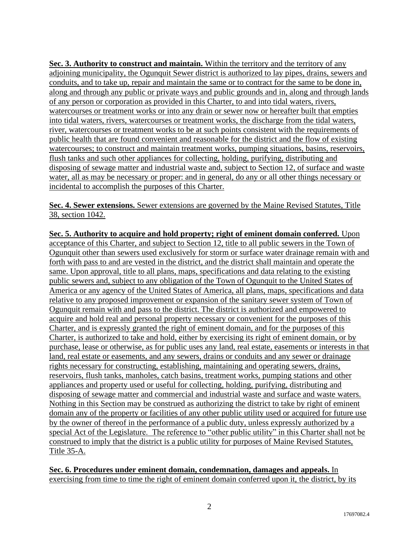**Sec. 3. Authority to construct and maintain.** Within the territory and the territory of any adjoining municipality, the Ogunquit Sewer district is authorized to lay pipes, drains, sewers and conduits, and to take up, repair and maintain the same or to contract for the same to be done in, along and through any public or private ways and public grounds and in, along and through lands of any person or corporation as provided in this Charter, to and into tidal waters, rivers, watercourses or treatment works or into any drain or sewer now or hereafter built that empties into tidal waters, rivers, watercourses or treatment works, the discharge from the tidal waters, river, watercourses or treatment works to be at such points consistent with the requirements of public health that are found convenient and reasonable for the district and the flow of existing watercourses; to construct and maintain treatment works, pumping situations, basins, reservoirs, flush tanks and such other appliances for collecting, holding, purifying, distributing and disposing of sewage matter and industrial waste and, subject to Section 12, of surface and waste water, all as may be necessary or proper: and in general, do any or all other things necessary or incidental to accomplish the purposes of this Charter.

**Sec. 4. Sewer extensions.** Sewer extensions are governed by the Maine Revised Statutes, Title 38, section 1042.

**Sec. 5. Authority to acquire and hold property; right of eminent domain conferred.** Upon acceptance of this Charter, and subject to Section 12, title to all public sewers in the Town of Ogunquit other than sewers used exclusively for storm or surface water drainage remain with and forth with pass to and are vested in the district, and the district shall maintain and operate the same. Upon approval, title to all plans, maps, specifications and data relating to the existing public sewers and, subject to any obligation of the Town of Ogunquit to the United States of America or any agency of the United States of America, all plans, maps, specifications and data relative to any proposed improvement or expansion of the sanitary sewer system of Town of Ogunquit remain with and pass to the district. The district is authorized and empowered to acquire and hold real and personal property necessary or convenient for the purposes of this Charter, and is expressly granted the right of eminent domain, and for the purposes of this Charter, is authorized to take and hold, either by exercising its right of eminent domain, or by purchase, lease or otherwise, as for public uses any land, real estate, easements or interests in that land, real estate or easements, and any sewers, drains or conduits and any sewer or drainage rights necessary for constructing, establishing, maintaining and operating sewers, drains, reservoirs, flush tanks, manholes, catch basins, treatment works, pumping stations and other appliances and property used or useful for collecting, holding, purifying, distributing and disposing of sewage matter and commercial and industrial waste and surface and waste waters. Nothing in this Section may be construed as authorizing the district to take by right of eminent domain any of the property or facilities of any other public utility used or acquired for future use by the owner of thereof in the performance of a public duty, unless expressly authorized by a special Act of the Legislature. The reference to "other public utility" in this Charter shall not be construed to imply that the district is a public utility for purposes of Maine Revised Statutes, Title 35-A.

**Sec. 6. Procedures under eminent domain, condemnation, damages and appeals.** In exercising from time to time the right of eminent domain conferred upon it, the district, by its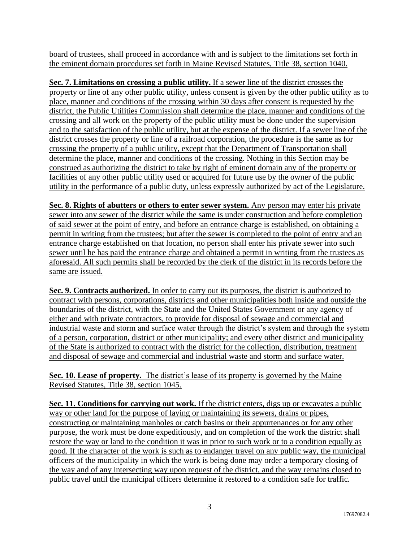board of trustees, shall proceed in accordance with and is subject to the limitations set forth in the eminent domain procedures set forth in Maine Revised Statutes, Title 38, section 1040.

**Sec. 7. Limitations on crossing a public utility.** If a sewer line of the district crosses the property or line of any other public utility, unless consent is given by the other public utility as to place, manner and conditions of the crossing within 30 days after consent is requested by the district, the Public Utilities Commission shall determine the place, manner and conditions of the crossing and all work on the property of the public utility must be done under the supervision and to the satisfaction of the public utility, but at the expense of the district. If a sewer line of the district crosses the property or line of a railroad corporation, the procedure is the same as for crossing the property of a public utility, except that the Department of Transportation shall determine the place, manner and conditions of the crossing. Nothing in this Section may be construed as authorizing the district to take by right of eminent domain any of the property or facilities of any other public utility used or acquired for future use by the owner of the public utility in the performance of a public duty, unless expressly authorized by act of the Legislature.

**Sec. 8. Rights of abutters or others to enter sewer system.** Any person may enter his private sewer into any sewer of the district while the same is under construction and before completion of said sewer at the point of entry, and before an entrance charge is established, on obtaining a permit in writing from the trustees; but after the sewer is completed to the point of entry and an entrance charge established on that location, no person shall enter his private sewer into such sewer until he has paid the entrance charge and obtained a permit in writing from the trustees as aforesaid. All such permits shall be recorded by the clerk of the district in its records before the same are issued.

**Sec. 9. Contracts authorized.** In order to carry out its purposes, the district is authorized to contract with persons, corporations, districts and other municipalities both inside and outside the boundaries of the district, with the State and the United States Government or any agency of either and with private contractors, to provide for disposal of sewage and commercial and industrial waste and storm and surface water through the district's system and through the system of a person, corporation, district or other municipality; and every other district and municipality of the State is authorized to contract with the district for the collection, distribution, treatment and disposal of sewage and commercial and industrial waste and storm and surface water.

**Sec. 10. Lease of property.** The district's lease of its property is governed by the Maine Revised Statutes, Title 38, section 1045.

**Sec. 11. Conditions for carrying out work.** If the district enters, digs up or excavates a public way or other land for the purpose of laying or maintaining its sewers, drains or pipes, constructing or maintaining manholes or catch basins or their appurtenances or for any other purpose, the work must be done expeditiously, and on completion of the work the district shall restore the way or land to the condition it was in prior to such work or to a condition equally as good. If the character of the work is such as to endanger travel on any public way, the municipal officers of the municipality in which the work is being done may order a temporary closing of the way and of any intersecting way upon request of the district, and the way remains closed to public travel until the municipal officers determine it restored to a condition safe for traffic.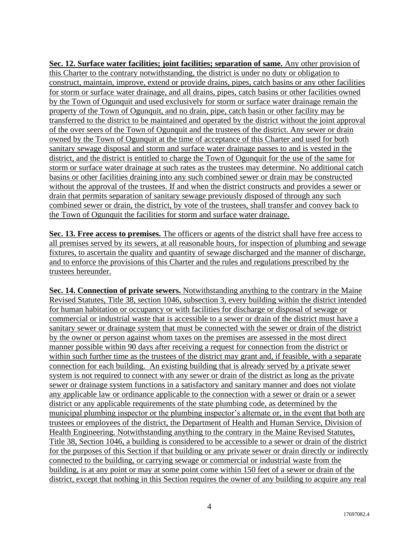**Sec. 12. Surface water facilities; joint facilities; separation of same.** Any other provision of this Charter to the contrary notwithstanding, the district is under no duty or obligation to construct, maintain, improve, extend or provide drains, pipes, catch basins or any other facilities for storm or surface water drainage, and all drains, pipes, catch basins or other facilities owned by the Town of Ogunquit and used exclusively for storm or surface water drainage remain the property of the Town of Ogunquit, and no drain, pipe, catch basin or other facility may be transferred to the district to be maintained and operated by the district without the joint approval of the over seers of the Town of Ogunquit and the trustees of the district. Any sewer or drain owned by the Town of Ogunquit at the time of acceptance of this Charter and used for both sanitary sewage disposal and storm and surface water drainage passes to and is vested in the district, and the district is entitled to charge the Town of Ogunquit for the use of the same for storm or surface water drainage at such rates as the trustees may determine. No additional catch basins or other facilities draining into any such combined sewer or drain may be constructed without the approval of the trustees. If and when the district constructs and provides a sewer or drain that permits separation of sanitary sewage previously disposed of through any such combined sewer or drain, the district, by vote of the trustees, shall transfer and convey back to the Town of Ogunquit the facilities for storm and surface water drainage.

**Sec. 13. Free access to premises.** The officers or agents of the district shall have free access to all premises served by its sewers, at all reasonable hours, for inspection of plumbing and sewage fixtures, to ascertain the quality and quantity of sewage discharged and the manner of discharge, and to enforce the provisions of this Charter and the rules and regulations prescribed by the trustees hereunder.

**Sec. 14. Connection of private sewers.** Notwithstanding anything to the contrary in the Maine Revised Statutes, Title 38, section 1046, subsection 3, every building within the district intended for human habitation or occupancy or with facilities for discharge or disposal of sewage or commercial or industrial waste that is accessible to a sewer or drain of the district must have a sanitary sewer or drainage system that must be connected with the sewer or drain of the district by the owner or person against whom taxes on the premises are assessed in the most direct manner possible within 90 days after receiving a request for connection from the district or within such further time as the trustees of the district may grant and, if feasible, with a separate connection for each building. An existing building that is already served by a private sewer system is not required to connect with any sewer or drain of the district as long as the private sewer or drainage system functions in a satisfactory and sanitary manner and does not violate any applicable law or ordinance applicable to the connection with a sewer or drain or a sewer district or any applicable requirements of the state plumbing code, as determined by the municipal plumbing inspector or the plumbing inspector's alternate or, in the event that both are trustees or employees of the district, the Department of Health and Human Service, Division of Health Engineering. Notwithstanding anything to the contrary in the Maine Revised Statutes, Title 38, Section 1046, a building is considered to be accessible to a sewer or drain of the district for the purposes of this Section if that building or any private sewer or drain directly or indirectly connected to the building, or carrying sewage or commercial or industrial waste from the building, is at any point or may at some point come within 150 feet of a sewer or drain of the district, except that nothing in this Section requires the owner of any building to acquire any real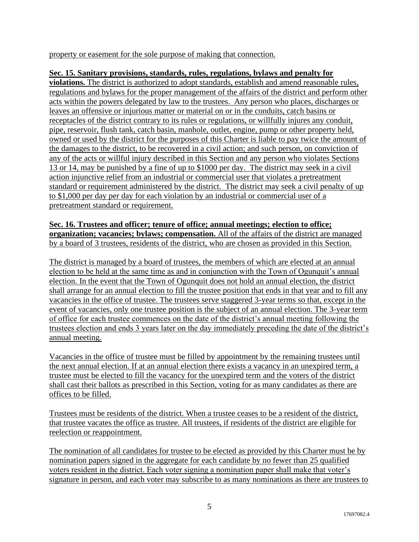property or easement for the sole purpose of making that connection.

## **Sec. 15. Sanitary provisions, standards, rules, regulations, bylaws and penalty for**

**violations.** The district is authorized to adopt standards, establish and amend reasonable rules, regulations and bylaws for the proper management of the affairs of the district and perform other acts within the powers delegated by law to the trustees. Any person who places, discharges or leaves an offensive or injurious matter or material on or in the conduits, catch basins or receptacles of the district contrary to its rules or regulations, or willfully injures any conduit, pipe, reservoir, flush tank, catch basin, manhole, outlet, engine, pump or other property held, owned or used by the district for the purposes of this Charter is liable to pay twice the amount of the damages to the district, to be recovered in a civil action; and such person, on conviction of any of the acts or willful injury described in this Section and any person who violates Sections 13 or 14, may be punished by a fine of up to \$1000 per day. The district may seek in a civil action injunctive relief from an industrial or commercial user that violates a pretreatment standard or requirement administered by the district. The district may seek a civil penalty of up to \$1,000 per day per day for each violation by an industrial or commercial user of a pretreatment standard or requirement.

#### **Sec. 16. Trustees and officer; tenure of office; annual meetings; election to office; organization; vacancies; bylaws; compensation.** All of the affairs of the district are managed by a board of 3 trustees, residents of the district, who are chosen as provided in this Section.

The district is managed by a board of trustees, the members of which are elected at an annual election to be held at the same time as and in conjunction with the Town of Ogunquit's annual election. In the event that the Town of Ogunquit does not hold an annual election, the district shall arrange for an annual election to fill the trustee position that ends in that year and to fill any vacancies in the office of trustee. The trustees serve staggered 3-year terms so that, except in the event of vacancies, only one trustee position is the subject of an annual election. The 3-year term of office for each trustee commences on the date of the district's annual meeting following the trustees election and ends 3 years later on the day immediately preceding the date of the district's annual meeting.

Vacancies in the office of trustee must be filled by appointment by the remaining trustees until the next annual election. If at an annual election there exists a vacancy in an unexpired term, a trustee must be elected to fill the vacancy for the unexpired term and the voters of the district shall cast their ballots as prescribed in this Section, voting for as many candidates as there are offices to be filled.

Trustees must be residents of the district. When a trustee ceases to be a resident of the district, that trustee vacates the office as trustee. All trustees, if residents of the district are eligible for reelection or reappointment.

The nomination of all candidates for trustee to be elected as provided by this Charter must be by nomination papers signed in the aggregate for each candidate by no fewer than 25 qualified voters resident in the district. Each voter signing a nomination paper shall make that voter's signature in person, and each voter may subscribe to as many nominations as there are trustees to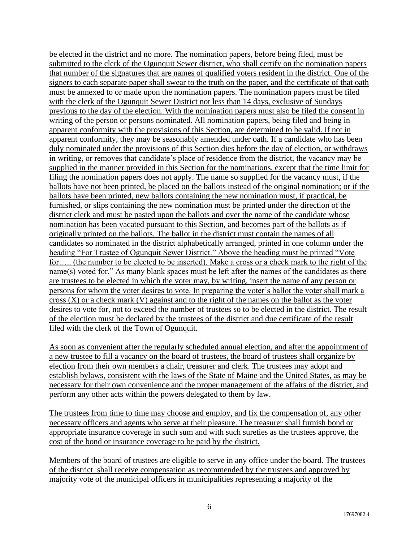be elected in the district and no more. The nomination papers, before being filed, must be submitted to the clerk of the Ogunquit Sewer district, who shall certify on the nomination papers that number of the signatures that are names of qualified voters resident in the district. One of the signers to each separate paper shall swear to the truth on the paper, and the certificate of that oath must be annexed to or made upon the nomination papers. The nomination papers must be filed with the clerk of the Ogunquit Sewer District not less than 14 days, exclusive of Sundays previous to the day of the election. With the nomination papers must also be filed the consent in writing of the person or persons nominated. All nomination papers, being filed and being in apparent conformity with the provisions of this Section, are determined to be valid. If not in apparent conformity, they may be seasonably amended under oath. If a candidate who has been duly nominated under the provisions of this Section dies before the day of election, or withdraws in writing, or removes that candidate's place of residence from the district, the vacancy may be supplied in the manner provided in this Section for the nominations, except that the time limit for filing the nomination papers does not apply. The name so supplied for the vacancy must, if the ballots have not been printed, be placed on the ballots instead of the original nomination; or if the ballots have been printed, new ballots containing the new nomination must, if practical, be furnished, or slips containing the new nomination must be printed under the direction of the district clerk and must be pasted upon the ballots and over the name of the candidate whose nomination has been vacated pursuant to this Section, and becomes part of the ballots as if originally printed on the ballots. The ballot in the district must contain the names of all candidates so nominated in the district alphabetically arranged, printed in one column under the heading "For Trustee of Ogunquit Sewer District." Above the heading must be printed "Vote for….. (the number to be elected to be inserted). Make a cross or a check mark to the right of the name(s) voted for." As many blank spaces must be left after the names of the candidates as there are trustees to be elected in which the voter may, by writing, insert the name of any person or persons for whom the voter desires to vote. In preparing the voter's ballot the voter shall mark a  $\frac{\text{cross (X) or a check mark (V) against and to the right of the names on the ballot as the voter}$ desires to vote for, not to exceed the number of trustees so to be elected in the district. The result of the election must be declared by the trustees of the district and due certificate of the result filed with the clerk of the Town of Ogunquit.

As soon as convenient after the regularly scheduled annual election, and after the appointment of a new trustee to fill a vacancy on the board of trustees, the board of trustees shall organize by election from their own members a chair, treasurer and clerk. The trustees may adopt and establish bylaws, consistent with the laws of the State of Maine and the United States, as may be necessary for their own convenience and the proper management of the affairs of the district, and perform any other acts within the powers delegated to them by law.

The trustees from time to time may choose and employ, and fix the compensation of, any other necessary officers and agents who serve at their pleasure. The treasurer shall furnish bond or appropriate insurance coverage in such sum and with such sureties as the trustees approve, the cost of the bond or insurance coverage to be paid by the district.

Members of the board of trustees are eligible to serve in any office under the board. The trustees of the district shall receive compensation as recommended by the trustees and approved by majority vote of the municipal officers in municipalities representing a majority of the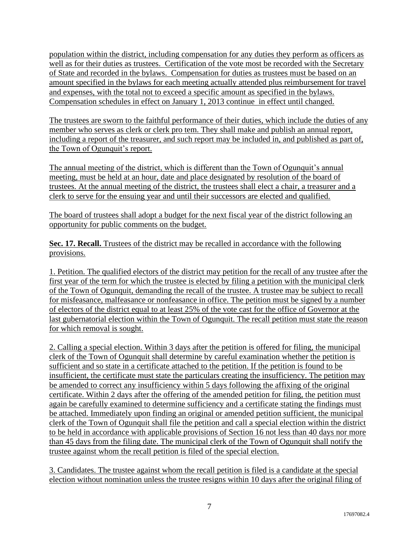population within the district, including compensation for any duties they perform as officers as well as for their duties as trustees. Certification of the vote most be recorded with the Secretary of State and recorded in the bylaws. Compensation for duties as trustees must be based on an amount specified in the bylaws for each meeting actually attended plus reimbursement for travel and expenses, with the total not to exceed a specific amount as specified in the bylaws. Compensation schedules in effect on January 1, 2013 continue in effect until changed.

The trustees are sworn to the faithful performance of their duties, which include the duties of any member who serves as clerk or clerk pro tem. They shall make and publish an annual report, including a report of the treasurer, and such report may be included in, and published as part of, the Town of Ogunquit's report.

The annual meeting of the district, which is different than the Town of Ogunquit's annual meeting, must be held at an hour, date and place designated by resolution of the board of trustees. At the annual meeting of the district, the trustees shall elect a chair, a treasurer and a clerk to serve for the ensuing year and until their successors are elected and qualified.

The board of trustees shall adopt a budget for the next fiscal year of the district following an opportunity for public comments on the budget.

**Sec. 17. Recall.** Trustees of the district may be recalled in accordance with the following provisions.

1. Petition. The qualified electors of the district may petition for the recall of any trustee after the first year of the term for which the trustee is elected by filing a petition with the municipal clerk of the Town of Ogunquit, demanding the recall of the trustee. A trustee may be subject to recall for misfeasance, malfeasance or nonfeasance in office. The petition must be signed by a number of electors of the district equal to at least 25% of the vote cast for the office of Governor at the last gubernatorial election within the Town of Ogunquit. The recall petition must state the reason for which removal is sought.

2. Calling a special election. Within 3 days after the petition is offered for filing, the municipal clerk of the Town of Ogunquit shall determine by careful examination whether the petition is sufficient and so state in a certificate attached to the petition. If the petition is found to be insufficient, the certificate must state the particulars creating the insufficiency. The petition may be amended to correct any insufficiency within 5 days following the affixing of the original certificate. Within 2 days after the offering of the amended petition for filing, the petition must again be carefully examined to determine sufficiency and a certificate stating the findings must be attached. Immediately upon finding an original or amended petition sufficient, the municipal clerk of the Town of Ogunquit shall file the petition and call a special election within the district to be held in accordance with applicable provisions of Section 16 not less than 40 days nor more than 45 days from the filing date. The municipal clerk of the Town of Ogunquit shall notify the trustee against whom the recall petition is filed of the special election.

3. Candidates. The trustee against whom the recall petition is filed is a candidate at the special election without nomination unless the trustee resigns within 10 days after the original filing of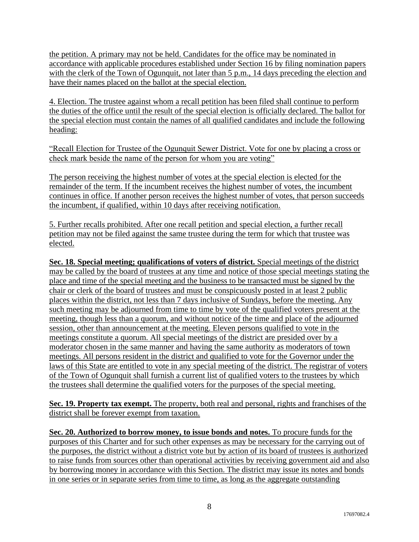the petition. A primary may not be held. Candidates for the office may be nominated in accordance with applicable procedures established under Section 16 by filing nomination papers with the clerk of the Town of Ogunquit, not later than 5 p.m., 14 days preceding the election and have their names placed on the ballot at the special election.

4. Election. The trustee against whom a recall petition has been filed shall continue to perform the duties of the office until the result of the special election is officially declared. The ballot for the special election must contain the names of all qualified candidates and include the following heading:

"Recall Election for Trustee of the Ogunquit Sewer District. Vote for one by placing a cross or check mark beside the name of the person for whom you are voting"

The person receiving the highest number of votes at the special election is elected for the remainder of the term. If the incumbent receives the highest number of votes, the incumbent continues in office. If another person receives the highest number of votes, that person succeeds the incumbent, if qualified, within 10 days after receiving notification.

5. Further recalls prohibited. After one recall petition and special election, a further recall petition may not be filed against the same trustee during the term for which that trustee was elected.

**Sec. 18. Special meeting; qualifications of voters of district.** Special meetings of the district may be called by the board of trustees at any time and notice of those special meetings stating the place and time of the special meeting and the business to be transacted must be signed by the chair or clerk of the board of trustees and must be conspicuously posted in at least 2 public places within the district, not less than 7 days inclusive of Sundays, before the meeting. Any such meeting may be adjourned from time to time by vote of the qualified voters present at the meeting, though less than a quorum, and without notice of the time and place of the adjourned session, other than announcement at the meeting. Eleven persons qualified to vote in the meetings constitute a quorum. All special meetings of the district are presided over by a moderator chosen in the same manner and having the same authority as moderators of town meetings. All persons resident in the district and qualified to vote for the Governor under the laws of this State are entitled to vote in any special meeting of the district. The registrar of voters of the Town of Ogunquit shall furnish a current list of qualified voters to the trustees by which the trustees shall determine the qualified voters for the purposes of the special meeting.

**Sec. 19. Property tax exempt.** The property, both real and personal, rights and franchises of the district shall be forever exempt from taxation.

**Sec. 20. Authorized to borrow money, to issue bonds and notes.** To procure funds for the purposes of this Charter and for such other expenses as may be necessary for the carrying out of the purposes, the district without a district vote but by action of its board of trustees is authorized to raise funds from sources other than operational activities by receiving government aid and also by borrowing money in accordance with this Section. The district may issue its notes and bonds in one series or in separate series from time to time, as long as the aggregate outstanding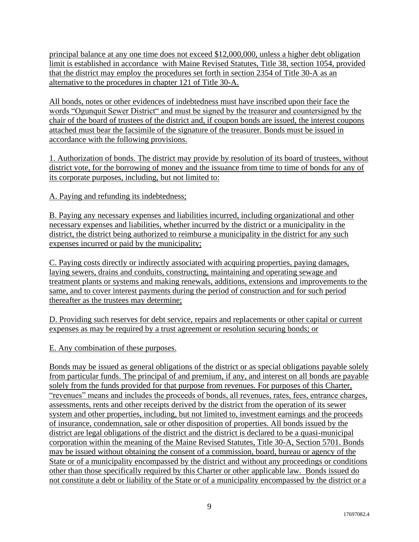principal balance at any one time does not exceed \$12,000,000, unless a higher debt obligation limit is established in accordance with Maine Revised Statutes, Title 38, section 1054, provided that the district may employ the procedures set forth in section 2354 of Title 30-A as an alternative to the procedures in chapter 121 of Title 30-A.

All bonds, notes or other evidences of indebtedness must have inscribed upon their face the words "Ogunquit Sewer District" and must be signed by the treasurer and countersigned by the chair of the board of trustees of the district and, if coupon bonds are issued, the interest coupons attached must bear the facsimile of the signature of the treasurer. Bonds must be issued in accordance with the following provisions.

1. Authorization of bonds. The district may provide by resolution of its board of trustees, without district vote, for the borrowing of money and the issuance from time to time of bonds for any of its corporate purposes, including, but not limited to:

A. Paying and refunding its indebtedness;

B. Paying any necessary expenses and liabilities incurred, including organizational and other necessary expenses and liabilities, whether incurred by the district or a municipality in the district, the district being authorized to reimburse a municipality in the district for any such expenses incurred or paid by the municipality;

C. Paying costs directly or indirectly associated with acquiring properties, paying damages, laying sewers, drains and conduits, constructing, maintaining and operating sewage and treatment plants or systems and making renewals, additions, extensions and improvements to the same, and to cover interest payments during the period of construction and for such period thereafter as the trustees may determine;

D. Providing such reserves for debt service, repairs and replacements or other capital or current expenses as may be required by a trust agreement or resolution securing bonds; or

E. Any combination of these purposes.

Bonds may be issued as general obligations of the district or as special obligations payable solely from particular funds. The principal of and premium, if any, and interest on all bonds are payable solely from the funds provided for that purpose from revenues. For purposes of this Charter, "revenues" means and includes the proceeds of bonds, all revenues, rates, fees, entrance charges, assessments, rents and other receipts derived by the district from the operation of its sewer system and other properties, including, but not limited to, investment earnings and the proceeds of insurance, condemnation, sale or other disposition of properties. All bonds issued by the district are legal obligations of the district and the district is declared to be a quasi-municipal corporation within the meaning of the Maine Revised Statutes, Title 30-A, Section 5701. Bonds may be issued without obtaining the consent of a commission, board, bureau or agency of the State or of a municipality encompassed by the district and without any proceedings or conditions other than those specifically required by this Charter or other applicable law. Bonds issued do not constitute a debt or liability of the State or of a municipality encompassed by the district or a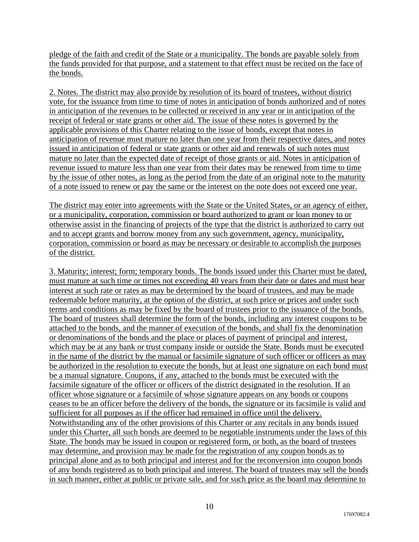pledge of the faith and credit of the State or a municipality. The bonds are payable solely from the funds provided for that purpose, and a statement to that effect must be recited on the face of the bonds.

2. Notes. The district may also provide by resolution of its board of trustees, without district vote, for the issuance from time to time of notes in anticipation of bonds authorized and of notes in anticipation of the revenues to be collected or received in any year or in anticipation of the receipt of federal or state grants or other aid. The issue of these notes is governed by the applicable provisions of this Charter relating to the issue of bonds, except that notes in anticipation of revenue must mature no later than one year from their respective dates, and notes issued in anticipation of federal or state grants or other aid and renewals of such notes must mature no later than the expected date of receipt of those grants or aid. Notes in anticipation of revenue issued to mature less than one year from their dates may be renewed from time to time by the issue of other notes, as long as the period from the date of an original note to the maturity of a note issued to renew or pay the same or the interest on the note does not exceed one year.

The district may enter into agreements with the State or the United States, or an agency of either, or a municipality, corporation, commission or board authorized to grant or loan money to or otherwise assist in the financing of projects of the type that the district is authorized to carry out and to accept grants and borrow money from any such government, agency, municipality, corporation, commission or board as may be necessary or desirable to accomplish the purposes of the district.

3. Maturity; interest; form; temporary bonds. The bonds issued under this Charter must be dated, must mature at such time or times not exceeding 40 years from their date or dates and must bear interest at such rate or rates as may be determined by the board of trustees, and may be made redeemable before maturity, at the option of the district, at such price or prices and under such terms and conditions as may be fixed by the board of trustees prior to the issuance of the bonds. The board of trustees shall determine the form of the bonds, including any interest coupons to be attached to the bonds, and the manner of execution of the bonds, and shall fix the denomination or denominations of the bonds and the place or places of payment of principal and interest, which may be at any bank or trust company inside or outside the State. Bonds must be executed in the name of the district by the manual or facsimile signature of such officer or officers as may be authorized in the resolution to execute the bonds, but at least one signature on each bond must be a manual signature. Coupons, if any, attached to the bonds must be executed with the facsimile signature of the officer or officers of the district designated in the resolution. If an officer whose signature or a facsimile of whose signature appears on any bonds or coupons ceases to be an officer before the delivery of the bonds, the signature or its facsimile is valid and sufficient for all purposes as if the officer had remained in office until the delivery. Notwithstanding any of the other provisions of this Charter or any recitals in any bonds issued under this Charter, all such bonds are deemed to be negotiable instruments under the laws of this State. The bonds may be issued in coupon or registered form, or both, as the board of trustees may determine, and provision may be made for the registration of any coupon bonds as to principal alone and as to both principal and interest and for the reconversion into coupon bonds of any bonds registered as to both principal and interest. The board of trustees may sell the bonds in such manner, either at public or private sale, and for such price as the board may determine to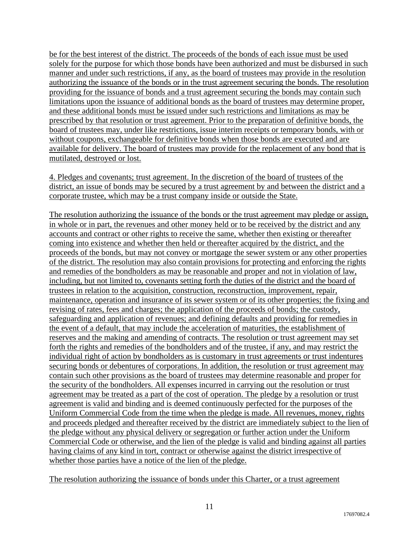be for the best interest of the district. The proceeds of the bonds of each issue must be used solely for the purpose for which those bonds have been authorized and must be disbursed in such manner and under such restrictions, if any, as the board of trustees may provide in the resolution authorizing the issuance of the bonds or in the trust agreement securing the bonds. The resolution providing for the issuance of bonds and a trust agreement securing the bonds may contain such limitations upon the issuance of additional bonds as the board of trustees may determine proper, and these additional bonds must be issued under such restrictions and limitations as may be prescribed by that resolution or trust agreement. Prior to the preparation of definitive bonds, the board of trustees may, under like restrictions, issue interim receipts or temporary bonds, with or without coupons, exchangeable for definitive bonds when those bonds are executed and are available for delivery. The board of trustees may provide for the replacement of any bond that is mutilated, destroyed or lost.

4. Pledges and covenants; trust agreement. In the discretion of the board of trustees of the district, an issue of bonds may be secured by a trust agreement by and between the district and a corporate trustee, which may be a trust company inside or outside the State.

The resolution authorizing the issuance of the bonds or the trust agreement may pledge or assign, in whole or in part, the revenues and other money held or to be received by the district and any accounts and contract or other rights to receive the same, whether then existing or thereafter coming into existence and whether then held or thereafter acquired by the district, and the proceeds of the bonds, but may not convey or mortgage the sewer system or any other properties of the district. The resolution may also contain provisions for protecting and enforcing the rights and remedies of the bondholders as may be reasonable and proper and not in violation of law, including, but not limited to, covenants setting forth the duties of the district and the board of trustees in relation to the acquisition, construction, reconstruction, improvement, repair, maintenance, operation and insurance of its sewer system or of its other properties; the fixing and revising of rates, fees and charges; the application of the proceeds of bonds; the custody, safeguarding and application of revenues; and defining defaults and providing for remedies in the event of a default, that may include the acceleration of maturities, the establishment of reserves and the making and amending of contracts. The resolution or trust agreement may set forth the rights and remedies of the bondholders and of the trustee, if any, and may restrict the individual right of action by bondholders as is customary in trust agreements or trust indentures securing bonds or debentures of corporations. In addition, the resolution or trust agreement may contain such other provisions as the board of trustees may determine reasonable and proper for the security of the bondholders. All expenses incurred in carrying out the resolution or trust agreement may be treated as a part of the cost of operation. The pledge by a resolution or trust agreement is valid and binding and is deemed continuously perfected for the purposes of the Uniform Commercial Code from the time when the pledge is made. All revenues, money, rights and proceeds pledged and thereafter received by the district are immediately subject to the lien of the pledge without any physical delivery or segregation or further action under the Uniform Commercial Code or otherwise, and the lien of the pledge is valid and binding against all parties having claims of any kind in tort, contract or otherwise against the district irrespective of whether those parties have a notice of the lien of the pledge.

The resolution authorizing the issuance of bonds under this Charter, or a trust agreement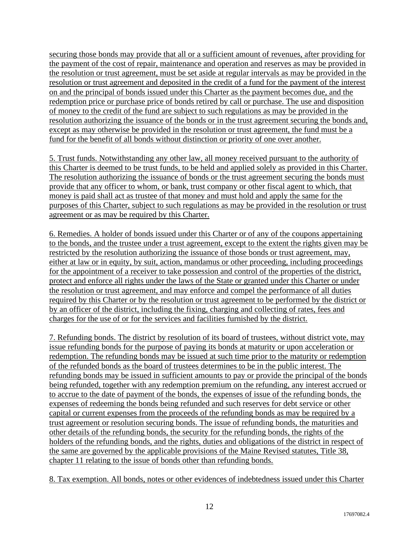securing those bonds may provide that all or a sufficient amount of revenues, after providing for the payment of the cost of repair, maintenance and operation and reserves as may be provided in the resolution or trust agreement, must be set aside at regular intervals as may be provided in the resolution or trust agreement and deposited in the credit of a fund for the payment of the interest on and the principal of bonds issued under this Charter as the payment becomes due, and the redemption price or purchase price of bonds retired by call or purchase. The use and disposition of money to the credit of the fund are subject to such regulations as may be provided in the resolution authorizing the issuance of the bonds or in the trust agreement securing the bonds and, except as may otherwise be provided in the resolution or trust agreement, the fund must be a fund for the benefit of all bonds without distinction or priority of one over another.

5. Trust funds. Notwithstanding any other law, all money received pursuant to the authority of this Charter is deemed to be trust funds, to be held and applied solely as provided in this Charter. The resolution authorizing the issuance of bonds or the trust agreement securing the bonds must provide that any officer to whom, or bank, trust company or other fiscal agent to which, that money is paid shall act as trustee of that money and must hold and apply the same for the purposes of this Charter, subject to such regulations as may be provided in the resolution or trust agreement or as may be required by this Charter.

6. Remedies. A holder of bonds issued under this Charter or of any of the coupons appertaining to the bonds, and the trustee under a trust agreement, except to the extent the rights given may be restricted by the resolution authorizing the issuance of those bonds or trust agreement, may, either at law or in equity, by suit, action, mandamus or other proceeding, including proceedings for the appointment of a receiver to take possession and control of the properties of the district, protect and enforce all rights under the laws of the State or granted under this Charter or under the resolution or trust agreement, and may enforce and compel the performance of all duties required by this Charter or by the resolution or trust agreement to be performed by the district or by an officer of the district, including the fixing, charging and collecting of rates, fees and charges for the use of or for the services and facilities furnished by the district.

7. Refunding bonds. The district by resolution of its board of trustees, without district vote, may issue refunding bonds for the purpose of paying its bonds at maturity or upon acceleration or redemption. The refunding bonds may be issued at such time prior to the maturity or redemption of the refunded bonds as the board of trustees determines to be in the public interest. The refunding bonds may be issued in sufficient amounts to pay or provide the principal of the bonds being refunded, together with any redemption premium on the refunding, any interest accrued or to accrue to the date of payment of the bonds, the expenses of issue of the refunding bonds, the expenses of redeeming the bonds being refunded and such reserves for debt service or other capital or current expenses from the proceeds of the refunding bonds as may be required by a trust agreement or resolution securing bonds. The issue of refunding bonds, the maturities and other details of the refunding bonds, the security for the refunding bonds, the rights of the holders of the refunding bonds, and the rights, duties and obligations of the district in respect of the same are governed by the applicable provisions of the Maine Revised statutes, Title 38, chapter 11 relating to the issue of bonds other than refunding bonds.

8. Tax exemption. All bonds, notes or other evidences of indebtedness issued under this Charter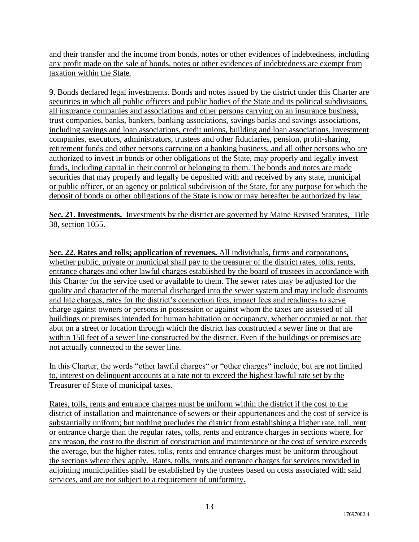and their transfer and the income from bonds, notes or other evidences of indebtedness, including any profit made on the sale of bonds, notes or other evidences of indebtedness are exempt from taxation within the State.

9. Bonds declared legal investments. Bonds and notes issued by the district under this Charter are securities in which all public officers and public bodies of the State and its political subdivisions, all insurance companies and associations and other persons carrying on an insurance business, trust companies, banks, bankers, banking associations, savings banks and savings associations, including savings and loan associations, credit unions, building and loan associations, investment companies, executors, administrators, trustees and other fiduciaries, pension, profit-sharing, retirement funds and other persons carrying on a banking business, and all other persons who are authorized to invest in bonds or other obligations of the State, may properly and legally invest funds, including capital in their control or belonging to them. The bonds and notes are made securities that may properly and legally be deposited with and received by any state, municipal or public officer, or an agency or political subdivision of the State, for any purpose for which the deposit of bonds or other obligations of the State is now or may hereafter be authorized by law.

**Sec. 21. Investments.** Investments by the district are governed by Maine Revised Statutes, Title 38, section 1055.

**Sec. 22. Rates and tolls; application of revenues.** All individuals, firms and corporations, whether public, private or municipal shall pay to the treasurer of the district rates, tolls, rents, entrance charges and other lawful charges established by the board of trustees in accordance with this Charter for the service used or available to them. The sewer rates may be adjusted for the quality and character of the material discharged into the sewer system and may include discounts and late charges, rates for the district's connection fees, impact fees and readiness to serve charge against owners or persons in possession or against whom the taxes are assessed of all buildings or premises intended for human habitation or occupancy, whether occupied or not, that abut on a street or location through which the district has constructed a sewer line or that are within 150 feet of a sewer line constructed by the district. Even if the buildings or premises are not actually connected to the sewer line.

In this Charter, the words "other lawful charges" or "other charges" include, but are not limited to, interest on delinquent accounts at a rate not to exceed the highest lawful rate set by the Treasurer of State of municipal taxes.

Rates, tolls, rents and entrance charges must be uniform within the district if the cost to the district of installation and maintenance of sewers or their appurtenances and the cost of service is substantially uniform; but nothing precludes the district from establishing a higher rate, toll, rent or entrance charge than the regular rates, tolls, rents and entrance charges in sections where, for any reason, the cost to the district of construction and maintenance or the cost of service exceeds the average, but the higher rates, tolls, rents and entrance charges must be uniform throughout the sections where they apply. Rates, tolls, rents and entrance charges for services provided in adjoining municipalities shall be established by the trustees based on costs associated with said services, and are not subject to a requirement of uniformity.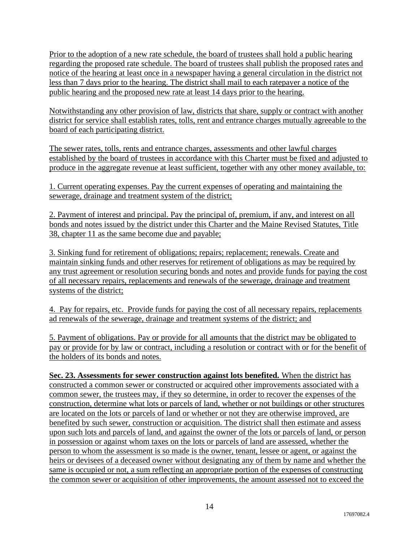Prior to the adoption of a new rate schedule, the board of trustees shall hold a public hearing regarding the proposed rate schedule. The board of trustees shall publish the proposed rates and notice of the hearing at least once in a newspaper having a general circulation in the district not less than 7 days prior to the hearing. The district shall mail to each ratepayer a notice of the public hearing and the proposed new rate at least 14 days prior to the hearing.

Notwithstanding any other provision of law, districts that share, supply or contract with another district for service shall establish rates, tolls, rent and entrance charges mutually agreeable to the board of each participating district.

The sewer rates, tolls, rents and entrance charges, assessments and other lawful charges established by the board of trustees in accordance with this Charter must be fixed and adjusted to produce in the aggregate revenue at least sufficient, together with any other money available, to:

1. Current operating expenses. Pay the current expenses of operating and maintaining the sewerage, drainage and treatment system of the district;

2. Payment of interest and principal. Pay the principal of, premium, if any, and interest on all bonds and notes issued by the district under this Charter and the Maine Revised Statutes, Title 38, chapter 11 as the same become due and payable;

3. Sinking fund for retirement of obligations; repairs; replacement; renewals. Create and maintain sinking funds and other reserves for retirement of obligations as may be required by any trust agreement or resolution securing bonds and notes and provide funds for paying the cost of all necessary repairs, replacements and renewals of the sewerage, drainage and treatment systems of the district;

4. Pay for repairs, etc. Provide funds for paying the cost of all necessary repairs, replacements ad renewals of the sewerage, drainage and treatment systems of the district; and

5. Payment of obligations. Pay or provide for all amounts that the district may be obligated to pay or provide for by law or contract, including a resolution or contract with or for the benefit of the holders of its bonds and notes.

**Sec. 23. Assessments for sewer construction against lots benefited.** When the district has constructed a common sewer or constructed or acquired other improvements associated with a common sewer, the trustees may, if they so determine, in order to recover the expenses of the construction, determine what lots or parcels of land, whether or not buildings or other structures are located on the lots or parcels of land or whether or not they are otherwise improved, are benefited by such sewer, construction or acquisition. The district shall then estimate and assess upon such lots and parcels of land, and against the owner of the lots or parcels of land, or person in possession or against whom taxes on the lots or parcels of land are assessed, whether the person to whom the assessment is so made is the owner, tenant, lessee or agent, or against the heirs or devisees of a deceased owner without designating any of them by name and whether the same is occupied or not, a sum reflecting an appropriate portion of the expenses of constructing the common sewer or acquisition of other improvements, the amount assessed not to exceed the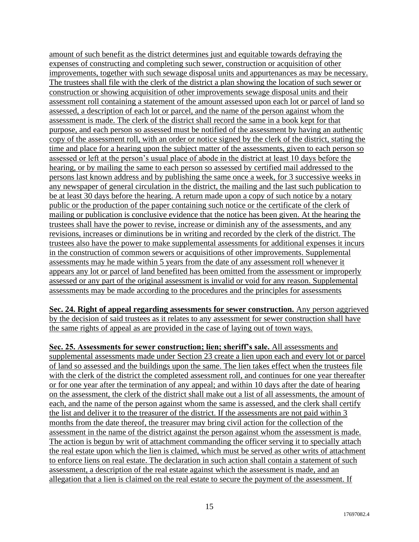amount of such benefit as the district determines just and equitable towards defraying the expenses of constructing and completing such sewer, construction or acquisition of other improvements, together with such sewage disposal units and appurtenances as may be necessary. The trustees shall file with the clerk of the district a plan showing the location of such sewer or construction or showing acquisition of other improvements sewage disposal units and their assessment roll containing a statement of the amount assessed upon each lot or parcel of land so assessed, a description of each lot or parcel, and the name of the person against whom the assessment is made. The clerk of the district shall record the same in a book kept for that purpose, and each person so assessed must be notified of the assessment by having an authentic copy of the assessment roll, with an order or notice signed by the clerk of the district, stating the time and place for a hearing upon the subject matter of the assessments, given to each person so assessed or left at the person's usual place of abode in the district at least 10 days before the hearing, or by mailing the same to each person so assessed by certified mail addressed to the persons last known address and by publishing the same once a week, for 3 successive weeks in any newspaper of general circulation in the district, the mailing and the last such publication to be at least 30 days before the hearing. A return made upon a copy of such notice by a notary public or the production of the paper containing such notice or the certificate of the clerk of mailing or publication is conclusive evidence that the notice has been given. At the hearing the trustees shall have the power to revise, increase or diminish any of the assessments, and any revisions, increases or diminutions be in writing and recorded by the clerk of the district. The trustees also have the power to make supplemental assessments for additional expenses it incurs in the construction of common sewers or acquisitions of other improvements. Supplemental assessments may he made within 5 years from the date of any assessment roll whenever it appears any lot or parcel of land benefited has been omitted from the assessment or improperly assessed or any part of the original assessment is invalid or void for any reason. Supplemental assessments may be made according to the procedures and the principles for assessments

**Sec. 24. Right of appeal regarding assessments for sewer construction.** Any person aggrieved by the decision of said trustees as it relates to any assessment for sewer construction shall have the same rights of appeal as are provided in the case of laying out of town ways.

**Sec. 25. Assessments for sewer construction; lien; sheriff's sale.** All assessments and supplemental assessments made under Section 23 create a lien upon each and every lot or parcel of land so assessed and the buildings upon the same. The lien takes effect when the trustees file with the clerk of the district the completed assessment roll, and continues for one year thereafter or for one year after the termination of any appeal; and within 10 days after the date of hearing on the assessment, the clerk of the district shall make out a list of all assessments, the amount of each, and the name of the person against whom the same is assessed, and the clerk shall certify the list and deliver it to the treasurer of the district. If the assessments are not paid within 3 months from the date thereof, the treasurer may bring civil action for the collection of the assessment in the name of the district against the person against whom the assessment is made. The action is begun by writ of attachment commanding the officer serving it to specially attach the real estate upon which the lien is claimed, which must be served as other writs of attachment to enforce liens on real estate. The declaration in such action shall contain a statement of such assessment, a description of the real estate against which the assessment is made, and an allegation that a lien is claimed on the real estate to secure the payment of the assessment. If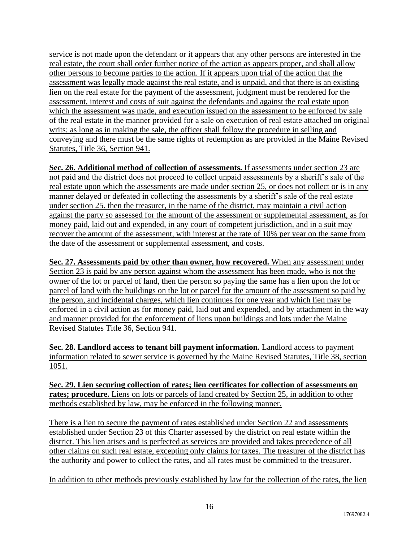service is not made upon the defendant or it appears that any other persons are interested in the real estate, the court shall order further notice of the action as appears proper, and shall allow other persons to become parties to the action. If it appears upon trial of the action that the assessment was legally made against the real estate, and is unpaid, and that there is an existing lien on the real estate for the payment of the assessment, judgment must be rendered for the assessment, interest and costs of suit against the defendants and against the real estate upon which the assessment was made, and execution issued on the assessment to be enforced by sale of the real estate in the manner provided for a sale on execution of real estate attached on original writs; as long as in making the sale, the officer shall follow the procedure in selling and conveying and there must be the same rights of redemption as are provided in the Maine Revised Statutes, Title 36, Section 941.

**Sec. 26. Additional method of collection of assessments.** If assessments under section 23 are not paid and the district does not proceed to collect unpaid assessments by a sheriff's sale of the real estate upon which the assessments are made under section 25, or does not collect or is in any manner delayed or defeated in collecting the assessments by a sheriff's sale of the real estate under section 25. then the treasurer, in the name of the district, may maintain a civil action against the party so assessed for the amount of the assessment or supplemental assessment, as for money paid, laid out and expended, in any court of competent jurisdiction, and in a suit may recover the amount of the assessment, with interest at the rate of 10% per year on the same from the date of the assessment or supplemental assessment, and costs.

**Sec. 27. Assessments paid by other than owner, how recovered.** When any assessment under Section 23 is paid by any person against whom the assessment has been made, who is not the owner of the lot or parcel of land, then the person so paying the same has a lien upon the lot or parcel of land with the buildings on the lot or parcel for the amount of the assessment so paid by the person, and incidental charges, which lien continues for one year and which lien may be enforced in a civil action as for money paid, laid out and expended, and by attachment in the way and manner provided for the enforcement of liens upon buildings and lots under the Maine Revised Statutes Title 36, Section 941.

**Sec. 28. Landlord access to tenant bill payment information.** Landlord access to payment information related to sewer service is governed by the Maine Revised Statutes, Title 38, section 1051.

**Sec. 29. Lien securing collection of rates; lien certificates for collection of assessments on rates; procedure.** Liens on lots or parcels of land created by Section 25, in addition to other methods established by law, may be enforced in the following manner.

There is a lien to secure the payment of rates established under Section 22 and assessments established under Section 23 of this Charter assessed by the district on real estate within the district. This lien arises and is perfected as services are provided and takes precedence of all other claims on such real estate, excepting only claims for taxes. The treasurer of the district has the authority and power to collect the rates, and all rates must be committed to the treasurer.

In addition to other methods previously established by law for the collection of the rates, the lien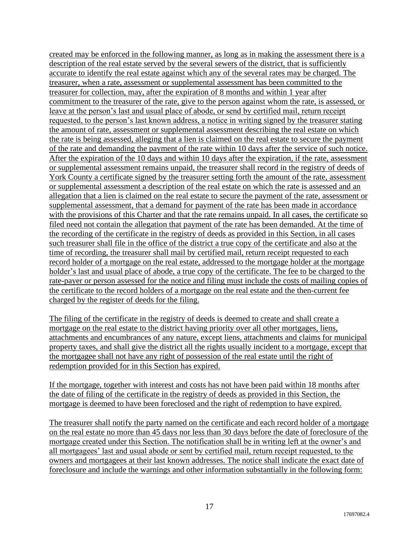created may be enforced in the following manner, as long as in making the assessment there is a description of the real estate served by the several sewers of the district, that is sufficiently accurate to identify the real estate against which any of the several rates may be charged. The treasurer, when a rate, assessment or supplemental assessment has been committed to the treasurer for collection, may, after the expiration of 8 months and within 1 year after commitment to the treasurer of the rate, give to the person against whom the rate, is assessed, or leave at the person's last and usual place of abode, or send by certified mail, return receipt requested, to the person's last known address, a notice in writing signed by the treasurer stating the amount of rate, assessment or supplemental assessment describing the real estate on which the rate is being assessed, alleging that a lien is claimed on the real estate to secure the payment of the rate and demanding the payment of the rate within 10 days after the service of such notice. After the expiration of the 10 days and within 10 days after the expiration, if the rate, assessment or supplemental assessment remains unpaid, the treasurer shall record in the registry of deeds of York County a certificate signed by the treasurer setting forth the amount of the rate, assessment or supplemental assessment a description of the real estate on which the rate is assessed and an allegation that a lien is claimed on the real estate to secure the payment of the rate, assessment or supplemental assessment, that a demand for payment of the rate has been made in accordance with the provisions of this Charter and that the rate remains unpaid. In all cases, the certificate so filed need not contain the allegation that payment of the rate has been demanded. At the time of the recording of the certificate in the registry of deeds as provided in this Section, in all cases such treasurer shall file in the office of the district a true copy of the certificate and also at the time of recording, the treasurer shall mail by certified mail, return receipt requested to each record holder of a mortgage on the real estate, addressed to the mortgage holder at the mortgage holder's last and usual place of abode, a true copy of the certificate. The fee to be charged to the rate-payer or person assessed for the notice and filing must include the costs of mailing copies of the certificate to the record holders of a mortgage on the real estate and the then-current fee charged by the register of deeds for the filing.

The filing of the certificate in the registry of deeds is deemed to create and shall create a mortgage on the real estate to the district having priority over all other mortgages, liens, attachments and encumbrances of any nature, except liens, attachments and claims for municipal property taxes, and shall give the district all the rights usually incident to a mortgage, except that the mortgagee shall not have any right of possession of the real estate until the right of redemption provided for in this Section has expired.

If the mortgage, together with interest and costs has not have been paid within 18 months after the date of filing of the certificate in the registry of deeds as provided in this Section, the mortgage is deemed to have been foreclosed and the right of redemption to have expired.

The treasurer shall notify the party named on the certificate and each record holder of a mortgage on the real estate no more than 45 days nor less than 30 days before the date of foreclosure of the mortgage created under this Section. The notification shall be in writing left at the owner's and all mortgagees' last and usual abode or sent by certified mail, return receipt requested, to the owners and mortgagees at their last known addresses. The notice shall indicate the exact date of foreclosure and include the warnings and other information substantially in the following form: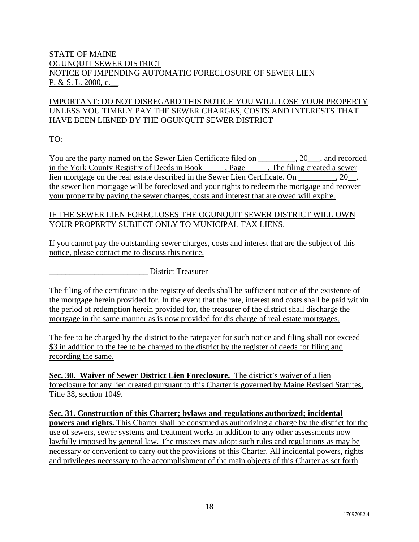## STATE OF MAINE OGUNQUIT SEWER DISTRICT NOTICE OF IMPENDING AUTOMATIC FORECLOSURE OF SEWER LIEN P. & S. L. 2000, c.\_\_

# IMPORTANT: DO NOT DISREGARD THIS NOTICE YOU WILL LOSE YOUR PROPERTY UNLESS YOU TIMELY PAY THE SEWER CHARGES, COSTS AND INTERESTS THAT HAVE BEEN LIENED BY THE OGUNQUIT SEWER DISTRICT

TO:

You are the party named on the Sewer Lien Certificate filed on \_\_\_\_\_\_\_\_, 20\_\_\_, and recorded in the York County Registry of Deeds in Book \_\_\_\_\_, Page \_\_\_\_\_. The filing created a sewer lien mortgage on the real estate described in the Sewer Lien Certificate. On \_\_\_\_\_\_\_\_\_, 20\_\_, the sewer lien mortgage will be foreclosed and your rights to redeem the mortgage and recover your property by paying the sewer charges, costs and interest that are owed will expire.

## IF THE SEWER LIEN FORECLOSES THE OGUNQUIT SEWER DISTRICT WILL OWN YOUR PROPERTY SUBJECT ONLY TO MUNICIPAL TAX LIENS.

If you cannot pay the outstanding sewer charges, costs and interest that are the subject of this notice, please contact me to discuss this notice.

District Treasurer

The filing of the certificate in the registry of deeds shall be sufficient notice of the existence of the mortgage herein provided for. In the event that the rate, interest and costs shall be paid within the period of redemption herein provided for, the treasurer of the district shall discharge the mortgage in the same manner as is now provided for dis charge of real estate mortgages.

The fee to be charged by the district to the ratepayer for such notice and filing shall not exceed \$3 in addition to the fee to be charged to the district by the register of deeds for filing and recording the same.

**Sec. 30. Waiver of Sewer District Lien Foreclosure.** The district's waiver of a lien foreclosure for any lien created pursuant to this Charter is governed by Maine Revised Statutes, Title 38, section 1049.

**Sec. 31. Construction of this Charter; bylaws and regulations authorized; incidental powers and rights.** This Charter shall be construed as authorizing a charge by the district for the use of sewers, sewer systems and treatment works in addition to any other assessments now lawfully imposed by general law. The trustees may adopt such rules and regulations as may be necessary or convenient to carry out the provisions of this Charter. All incidental powers, rights and privileges necessary to the accomplishment of the main objects of this Charter as set forth